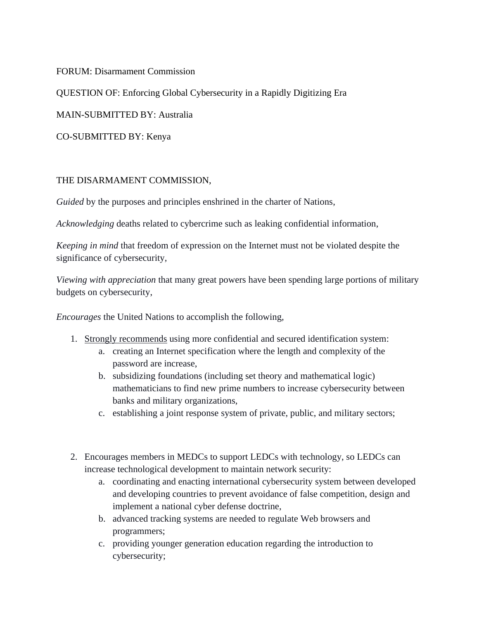FORUM: Disarmament Commission

QUESTION OF: [Enforcing Global Cybersecurity in a Rapidly Digitizing Era](https://munisc.isqchina.com/wp-content/uploads/2021/01/DA_02_Enforcing-Global-Cybersecurity-in-a-Rapidly-Digitizing-Era.pdf)

MAIN-SUBMITTED BY: Australia

CO-SUBMITTED BY: Kenya

## THE DISARMAMENT COMMISSION,

*Guided* by the purposes and principles enshrined in the charter of Nations,

*Acknowledging* deaths related to cybercrime such as leaking confidential information,

*Keeping in mind* that freedom of expression on the Internet must not be violated despite the significance of cybersecurity,

*Viewing with appreciation* that many great powers have been spending large portions of military budgets on cybersecurity,

*Encourages* the United Nations to accomplish the following,

- 1. Strongly recommends using more confidential and secured identification system:
	- a. creating an Internet specification where the length and complexity of the password are increase,
	- b. subsidizing foundations (including set theory and mathematical logic) mathematicians to find new prime numbers to increase cybersecurity between banks and military organizations,
	- c. establishing a joint response system of private, public, and military sectors;
- 2. Encourages members in MEDCs to support LEDCs with technology, so LEDCs can increase technological development to maintain network security:
	- a. coordinating and enacting international cybersecurity system between developed and developing countries to prevent avoidance of false competition, design and implement a national cyber defense doctrine,
	- b. advanced tracking systems are needed to regulate Web browsers and programmers;
	- c. providing younger generation education regarding the introduction to cybersecurity;